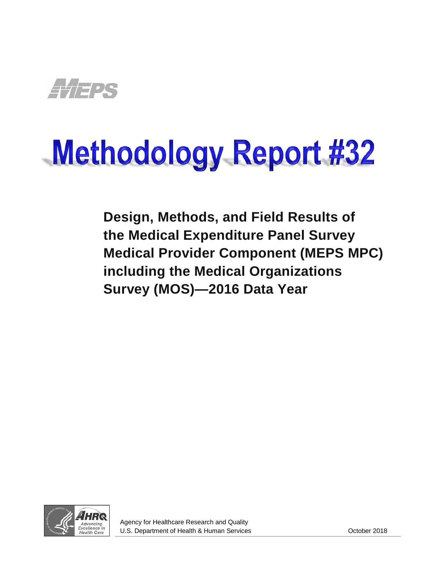

# **Methodology Report #32**

<span id="page-0-0"></span>**Design, Methods, and Field Results of the Medical Expenditure Panel Survey Medical Provider Component (MEPS MPC) including the Medical Organizations Survey (MOS)—2016 Data Year**

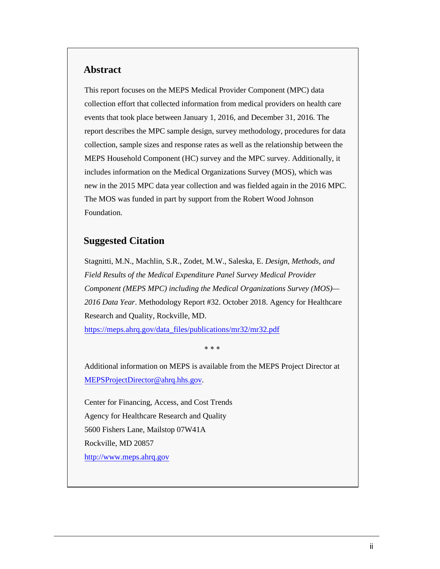## **Abstract**

This report focuses on the MEPS Medical Provider Component (MPC) data collection effort that collected information from medical providers on health care events that took place between January 1, 2016, and December 31, 2016. The report describes the MPC sample design, survey methodology, procedures for data collection, sample sizes and response rates as well as the relationship between the MEPS Household Component (HC) survey and the MPC survey. Additionally, it includes information on the Medical Organizations Survey (MOS), which was new in the 2015 MPC data year collection and was fielded again in the 2016 MPC. The MOS was funded in part by support from the Robert Wood Johnson Foundation.

## **Suggested Citation**

Stagnitti, M.N., Machlin, S.R., Zodet, M.W., Saleska, E. *Design, Methods, and Field Results of the Medical Expenditure Panel Survey Medical Provider Component (MEPS MPC) including the Medical Organizations Survey (MOS)— 2016 Data Year*. Methodology Report #32. October 2018. Agency for Healthcare Research and Quality, Rockville, MD.

[https://meps.ahrq.gov/data\\_files/publications/mr32/mr32.pdf](https://meps.ahrq.gov/data_files/publications/mr32/mr32.pdf)

∗ ∗ ∗

Additional information on MEPS is available from the MEPS Project Director at [MEPSProjectDirector@ahrq.hhs.gov.](mailto:MEPSProjectDirector@ahrq.hhs.gov)

Center for Financing, Access, and Cost Trends Agency for Healthcare Research and Quality 5600 Fishers Lane, Mailstop 07W41A Rockville, MD 20857 [http://www.meps.ahrq.gov](http://www.meps.ahrq.gov/)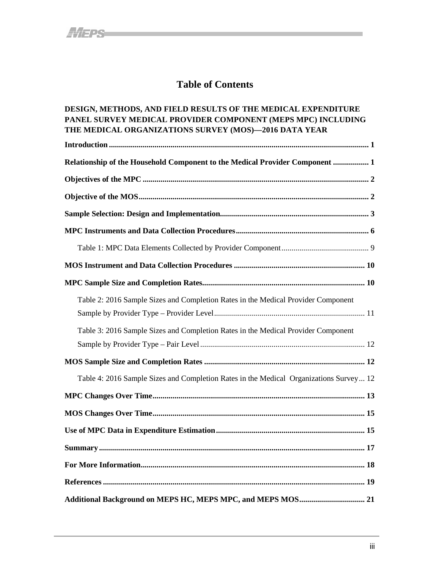# **Table of Contents**

## **[DESIGN, METHODS, AND FIELD RESULTS OF](#page-0-0) THE MEDICAL EXPENDITURE PANEL SURVEY MEDICAL [PROVIDER COMPONENT \(MEPS MPC\) INCLUDING](#page-0-0) [THE MEDICAL ORGANIZATIONS SURVEY \(MOS\)—2016 DATA YEAR](#page-0-0)**

| Relationship of the Household Component to the Medical Provider Component  1           |
|----------------------------------------------------------------------------------------|
|                                                                                        |
|                                                                                        |
|                                                                                        |
|                                                                                        |
|                                                                                        |
|                                                                                        |
|                                                                                        |
| Table 2: 2016 Sample Sizes and Completion Rates in the Medical Provider Component      |
| Table 3: 2016 Sample Sizes and Completion Rates in the Medical Provider Component      |
|                                                                                        |
| Table 4: 2016 Sample Sizes and Completion Rates in the Medical Organizations Survey 12 |
|                                                                                        |
|                                                                                        |
|                                                                                        |
|                                                                                        |
|                                                                                        |
|                                                                                        |
|                                                                                        |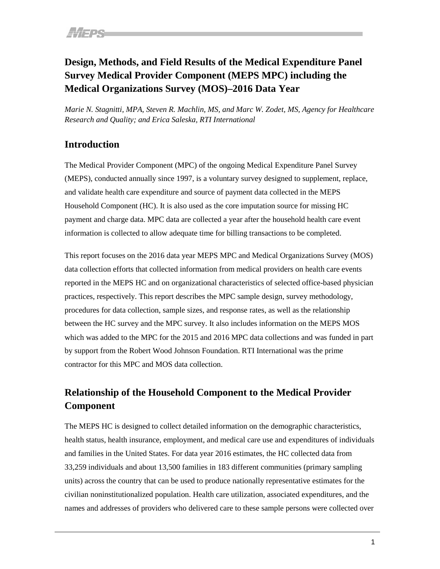# **Design, Methods, and Field Results of the Medical Expenditure Panel Survey Medical Provider Component (MEPS MPC) including the Medical Organizations Survey (MOS)–2016 Data Year**

*Marie N. Stagnitti, MPA, Steven R. Machlin, MS, and Marc W. Zodet, MS, Agency for Healthcare Research and Quality; and Erica Saleska, RTI International*

## <span id="page-3-0"></span>**Introduction**

The Medical Provider Component (MPC) of the ongoing Medical Expenditure Panel Survey (MEPS), conducted annually since 1997, is a voluntary survey designed to supplement, replace, and validate health care expenditure and source of payment data collected in the MEPS Household Component (HC). It is also used as the core imputation source for missing HC payment and charge data. MPC data are collected a year after the household health care event information is collected to allow adequate time for billing transactions to be completed.

This report focuses on the 2016 data year MEPS MPC and Medical Organizations Survey (MOS) data collection efforts that collected information from medical providers on health care events reported in the MEPS HC and on organizational characteristics of selected office-based physician practices, respectively. This report describes the MPC sample design, survey methodology, procedures for data collection, sample sizes, and response rates, as well as the relationship between the HC survey and the MPC survey. It also includes information on the MEPS MOS which was added to the MPC for the 2015 and 2016 MPC data collections and was funded in part by support from the Robert Wood Johnson Foundation. RTI International was the prime contractor for this MPC and MOS data collection.

# <span id="page-3-1"></span>**Relationship of the Household Component to the Medical Provider Component**

The MEPS HC is designed to collect detailed information on the demographic characteristics, health status, health insurance, employment, and medical care use and expenditures of individuals and families in the United States. For data year 2016 estimates, the HC collected data from 33,259 individuals and about 13,500 families in 183 different communities (primary sampling units) across the country that can be used to produce nationally representative estimates for the civilian noninstitutionalized population. Health care utilization, associated expenditures, and the names and addresses of providers who delivered care to these sample persons were collected over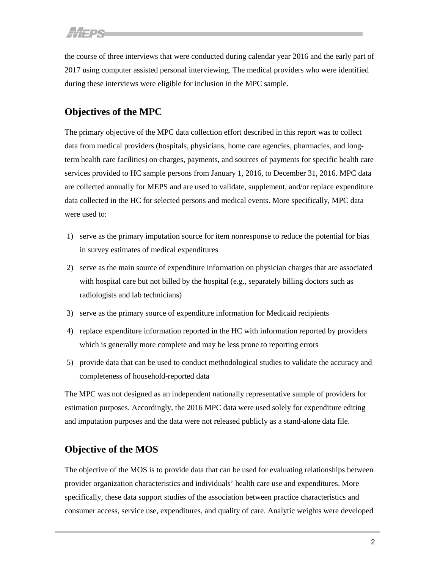the course of three interviews that were conducted during calendar year 2016 and the early part of 2017 using computer assisted personal interviewing. The medical providers who were identified during these interviews were eligible for inclusion in the MPC sample.

# <span id="page-4-0"></span>**Objectives of the MPC**

The primary objective of the MPC data collection effort described in this report was to collect data from medical providers (hospitals, physicians, home care agencies, pharmacies, and longterm health care facilities) on charges, payments, and sources of payments for specific health care services provided to HC sample persons from January 1, 2016, to December 31, 2016. MPC data are collected annually for MEPS and are used to validate, supplement, and/or replace expenditure data collected in the HC for selected persons and medical events. More specifically, MPC data were used to:

- 1) serve as the primary imputation source for item nonresponse to reduce the potential for bias in survey estimates of medical expenditures
- 2) serve as the main source of expenditure information on physician charges that are associated with hospital care but not billed by the hospital (e.g., separately billing doctors such as radiologists and lab technicians)
- 3) serve as the primary source of expenditure information for Medicaid recipients
- 4) replace expenditure information reported in the HC with information reported by providers which is generally more complete and may be less prone to reporting errors
- 5) provide data that can be used to conduct methodological studies to validate the accuracy and completeness of household-reported data

The MPC was not designed as an independent nationally representative sample of providers for estimation purposes. Accordingly, the 2016 MPC data were used solely for expenditure editing and imputation purposes and the data were not released publicly as a stand-alone data file.

## <span id="page-4-1"></span>**Objective of the MOS**

The objective of the MOS is to provide data that can be used for evaluating relationships between provider organization characteristics and individuals' health care use and expenditures. More specifically, these data support studies of the association between practice characteristics and consumer access, service use, expenditures, and quality of care. Analytic weights were developed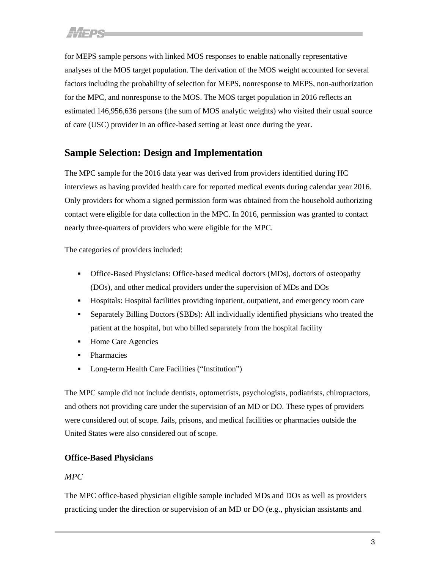for MEPS sample persons with linked MOS responses to enable nationally representative analyses of the MOS target population. The derivation of the MOS weight accounted for several factors including the probability of selection for MEPS, nonresponse to MEPS, non-authorization for the MPC, and nonresponse to the MOS. The MOS target population in 2016 reflects an estimated 146,956,636 persons (the sum of MOS analytic weights) who visited their usual source of care (USC) provider in an office-based setting at least once during the year.

## <span id="page-5-0"></span>**Sample Selection: Design and Implementation**

The MPC sample for the 2016 data year was derived from providers identified during HC interviews as having provided health care for reported medical events during calendar year 2016. Only providers for whom a signed permission form was obtained from the household authorizing contact were eligible for data collection in the MPC. In 2016, permission was granted to contact nearly three-quarters of providers who were eligible for the MPC.

The categories of providers included:

- Office-Based Physicians: Office-based medical doctors (MDs), doctors of osteopathy (DOs), and other medical providers under the supervision of MDs and DOs
- Hospitals: Hospital facilities providing inpatient, outpatient, and emergency room care
- Separately Billing Doctors (SBDs): All individually identified physicians who treated the patient at the hospital, but who billed separately from the hospital facility
- Home Care Agencies
- **•** Pharmacies
- Long-term Health Care Facilities ("Institution")

The MPC sample did not include dentists, optometrists, psychologists, podiatrists, chiropractors, and others not providing care under the supervision of an MD or DO. These types of providers were considered out of scope. Jails, prisons, and medical facilities or pharmacies outside the United States were also considered out of scope.

## **Office-Based Physicians**

## *MPC*

The MPC office-based physician eligible sample included MDs and DOs as well as providers practicing under the direction or supervision of an MD or DO (e.g., physician assistants and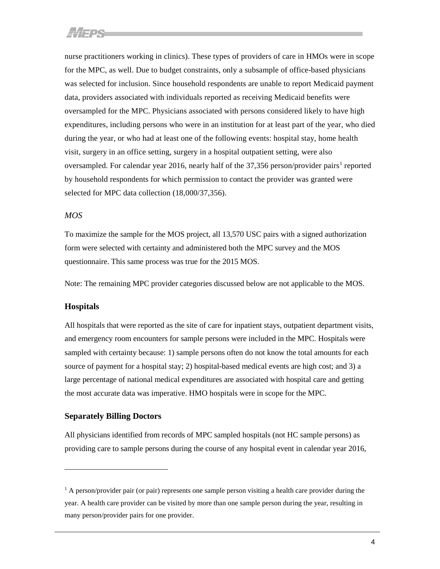nurse practitioners working in clinics). These types of providers of care in HMOs were in scope for the MPC, as well. Due to budget constraints, only a subsample of office-based physicians was selected for inclusion. Since household respondents are unable to report Medicaid payment data, providers associated with individuals reported as receiving Medicaid benefits were oversampled for the MPC. Physicians associated with persons considered likely to have high expenditures, including persons who were in an institution for at least part of the year, who died during the year, or who had at least one of the following events: hospital stay, home health visit, surgery in an office setting, surgery in a hospital outpatient setting, were also oversampled. For calendar year 20[1](#page-6-0)6, nearly half of the  $37,356$  person/provider pairs<sup>1</sup> reported by household respondents for which permission to contact the provider was granted were selected for MPC data collection (18,000/37,356).

#### *MOS*

To maximize the sample for the MOS project, all 13,570 USC pairs with a signed authorization form were selected with certainty and administered both the MPC survey and the MOS questionnaire. This same process was true for the 2015 MOS.

Note: The remaining MPC provider categories discussed below are not applicable to the MOS.

#### **Hospitals**

 $\overline{a}$ 

All hospitals that were reported as the site of care for inpatient stays, outpatient department visits, and emergency room encounters for sample persons were included in the MPC. Hospitals were sampled with certainty because: 1) sample persons often do not know the total amounts for each source of payment for a hospital stay; 2) hospital-based medical events are high cost; and 3) a large percentage of national medical expenditures are associated with hospital care and getting the most accurate data was imperative. HMO hospitals were in scope for the MPC.

#### **Separately Billing Doctors**

All physicians identified from records of MPC sampled hospitals (not HC sample persons) as providing care to sample persons during the course of any hospital event in calendar year 2016,

<span id="page-6-0"></span> $<sup>1</sup>$  A person/provider pair (or pair) represents one sample person visiting a health care provider during the</sup> year. A health care provider can be visited by more than one sample person during the year, resulting in many person/provider pairs for one provider.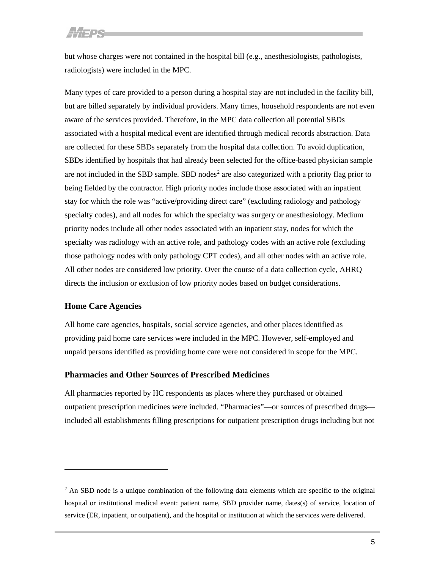but whose charges were not contained in the hospital bill (e.g., anesthesiologists, pathologists, radiologists) were included in the MPC.

Many types of care provided to a person during a hospital stay are not included in the facility bill, but are billed separately by individual providers. Many times, household respondents are not even aware of the services provided. Therefore, in the MPC data collection all potential SBDs associated with a hospital medical event are identified through medical records abstraction. Data are collected for these SBDs separately from the hospital data collection. To avoid duplication, SBDs identified by hospitals that had already been selected for the office-based physician sample are not included in the SBD sample. SBD nodes<sup>[2](#page-7-0)</sup> are also categorized with a priority flag prior to being fielded by the contractor. High priority nodes include those associated with an inpatient stay for which the role was "active/providing direct care" (excluding radiology and pathology specialty codes), and all nodes for which the specialty was surgery or anesthesiology. Medium priority nodes include all other nodes associated with an inpatient stay, nodes for which the specialty was radiology with an active role, and pathology codes with an active role (excluding those pathology nodes with only pathology CPT codes), and all other nodes with an active role. All other nodes are considered low priority. Over the course of a data collection cycle, AHRQ directs the inclusion or exclusion of low priority nodes based on budget considerations.

### **Home Care Agencies**

 $\overline{a}$ 

All home care agencies, hospitals, social service agencies, and other places identified as providing paid home care services were included in the MPC. However, self-employed and unpaid persons identified as providing home care were not considered in scope for the MPC.

#### **Pharmacies and Other Sources of Prescribed Medicines**

All pharmacies reported by HC respondents as places where they purchased or obtained outpatient prescription medicines were included. "Pharmacies"—or sources of prescribed drugs included all establishments filling prescriptions for outpatient prescription drugs including but not

<span id="page-7-0"></span> $<sup>2</sup>$  An SBD node is a unique combination of the following data elements which are specific to the original</sup> hospital or institutional medical event: patient name, SBD provider name, dates(s) of service, location of service (ER, inpatient, or outpatient), and the hospital or institution at which the services were delivered.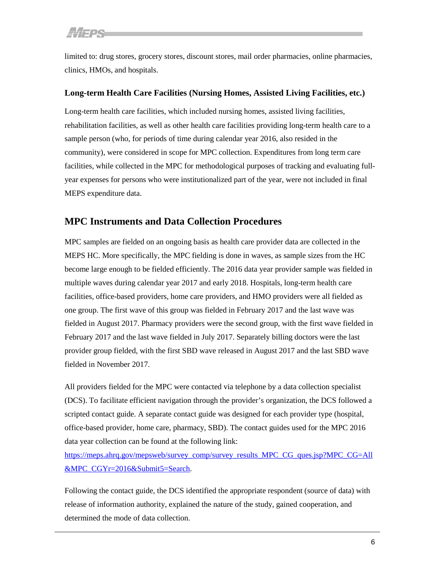limited to: drug stores, grocery stores, discount stores, mail order pharmacies, online pharmacies, clinics, HMOs, and hospitals.

## **Long-term Health Care Facilities (Nursing Homes, Assisted Living Facilities, etc.)**

Long-term health care facilities, which included nursing homes, assisted living facilities, rehabilitation facilities, as well as other health care facilities providing long-term health care to a sample person (who, for periods of time during calendar year 2016, also resided in the community), were considered in scope for MPC collection. Expenditures from long term care facilities, while collected in the MPC for methodological purposes of tracking and evaluating fullyear expenses for persons who were institutionalized part of the year, were not included in final MEPS expenditure data.

## <span id="page-8-0"></span>**MPC Instruments and Data Collection Procedures**

MPC samples are fielded on an ongoing basis as health care provider data are collected in the MEPS HC. More specifically, the MPC fielding is done in waves, as sample sizes from the HC become large enough to be fielded efficiently. The 2016 data year provider sample was fielded in multiple waves during calendar year 2017 and early 2018. Hospitals, long-term health care facilities, office-based providers, home care providers, and HMO providers were all fielded as one group. The first wave of this group was fielded in February 2017 and the last wave was fielded in August 2017. Pharmacy providers were the second group, with the first wave fielded in February 2017 and the last wave fielded in July 2017. Separately billing doctors were the last provider group fielded, with the first SBD wave released in August 2017 and the last SBD wave fielded in November 2017.

All providers fielded for the MPC were contacted via telephone by a data collection specialist (DCS). To facilitate efficient navigation through the provider's organization, the DCS followed a scripted contact guide. A separate contact guide was designed for each provider type (hospital, office-based provider, home care, pharmacy, SBD). The contact guides used for the MPC 2016 data year collection can be found at the following link:

[https://meps.ahrq.gov/mepsweb/survey\\_comp/survey\\_results\\_MPC\\_CG\\_ques.jsp?MPC\\_CG=All](https://meps.ahrq.gov/mepsweb/survey_comp/survey_results_MPC_CG_ques.jsp?MPC_CG=All&MPC_CGYr=2016&Submit5=Search) [&MPC\\_CGYr=2016&Submit5=Search.](https://meps.ahrq.gov/mepsweb/survey_comp/survey_results_MPC_CG_ques.jsp?MPC_CG=All&MPC_CGYr=2016&Submit5=Search)

Following the contact guide, the DCS identified the appropriate respondent (source of data) with release of information authority, explained the nature of the study, gained cooperation, and determined the mode of data collection.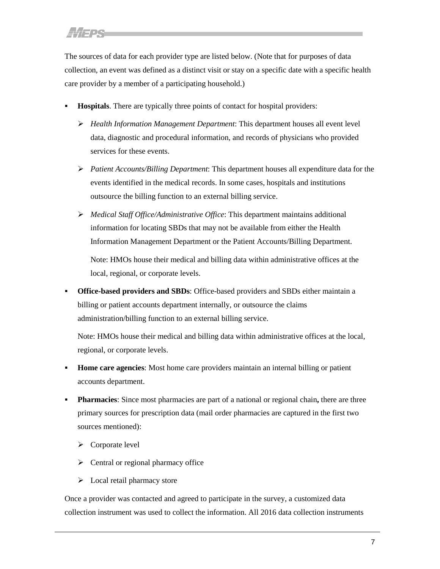The sources of data for each provider type are listed below. (Note that for purposes of data collection, an event was defined as a distinct visit or stay on a specific date with a specific health care provider by a member of a participating household.)

- **Hospitals**. There are typically three points of contact for hospital providers:
	- *Health Information Management Department*: This department houses all event level data, diagnostic and procedural information, and records of physicians who provided services for these events.
	- *Patient Accounts/Billing Department*: This department houses all expenditure data for the events identified in the medical records. In some cases, hospitals and institutions outsource the billing function to an external billing service.
	- *Medical Staff Office/Administrative Office*: This department maintains additional information for locating SBDs that may not be available from either the Health Information Management Department or the Patient Accounts/Billing Department.

Note: HMOs house their medical and billing data within administrative offices at the local, regional, or corporate levels.

 **Office-based providers and SBDs**: Office-based providers and SBDs either maintain a billing or patient accounts department internally, or outsource the claims administration/billing function to an external billing service.

Note: HMOs house their medical and billing data within administrative offices at the local, regional, or corporate levels.

- **Home care agencies**: Most home care providers maintain an internal billing or patient accounts department.
- **Pharmacies:** Since most pharmacies are part of a national or regional chain, there are three primary sources for prescription data (mail order pharmacies are captured in the first two sources mentioned):
	- $\triangleright$  Corporate level
	- $\triangleright$  Central or regional pharmacy office
	- $\triangleright$  Local retail pharmacy store

Once a provider was contacted and agreed to participate in the survey, a customized data collection instrument was used to collect the information. All 2016 data collection instruments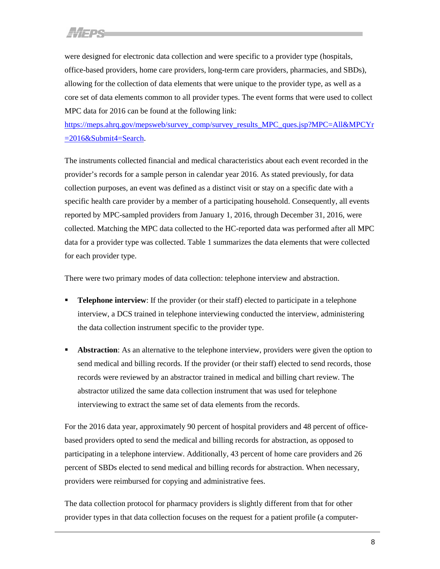were designed for electronic data collection and were specific to a provider type (hospitals, office-based providers, home care providers, long-term care providers, pharmacies, and SBDs), allowing for the collection of data elements that were unique to the provider type, as well as a core set of data elements common to all provider types. The event forms that were used to collect MPC data for 2016 can be found at the following link:

[https://meps.ahrq.gov/mepsweb/survey\\_comp/survey\\_results\\_MPC\\_ques.jsp?MPC=All&MPCYr](https://meps.ahrq.gov/mepsweb/survey_comp/survey_results_MPC_ques.jsp?MPC=All&MPCYr=2016&Submit4=Search) [=2016&Submit4=Search.](https://meps.ahrq.gov/mepsweb/survey_comp/survey_results_MPC_ques.jsp?MPC=All&MPCYr=2016&Submit4=Search)

The instruments collected financial and medical characteristics about each event recorded in the provider's records for a sample person in calendar year 2016. As stated previously, for data collection purposes, an event was defined as a distinct visit or stay on a specific date with a specific health care provider by a member of a participating household. Consequently, all events reported by MPC-sampled providers from January 1, 2016, through December 31, 2016, were collected. Matching the MPC data collected to the HC-reported data was performed after all MPC data for a provider type was collected. Table 1 summarizes the data elements that were collected for each provider type.

There were two primary modes of data collection: telephone interview and abstraction.

- **Telephone interview**: If the provider (or their staff) elected to participate in a telephone interview, a DCS trained in telephone interviewing conducted the interview, administering the data collection instrument specific to the provider type.
- **Abstraction**: As an alternative to the telephone interview, providers were given the option to send medical and billing records. If the provider (or their staff) elected to send records, those records were reviewed by an abstractor trained in medical and billing chart review. The abstractor utilized the same data collection instrument that was used for telephone interviewing to extract the same set of data elements from the records.

For the 2016 data year, approximately 90 percent of hospital providers and 48 percent of officebased providers opted to send the medical and billing records for abstraction, as opposed to participating in a telephone interview. Additionally, 43 percent of home care providers and 26 percent of SBDs elected to send medical and billing records for abstraction. When necessary, providers were reimbursed for copying and administrative fees.

The data collection protocol for pharmacy providers is slightly different from that for other provider types in that data collection focuses on the request for a patient profile (a computer-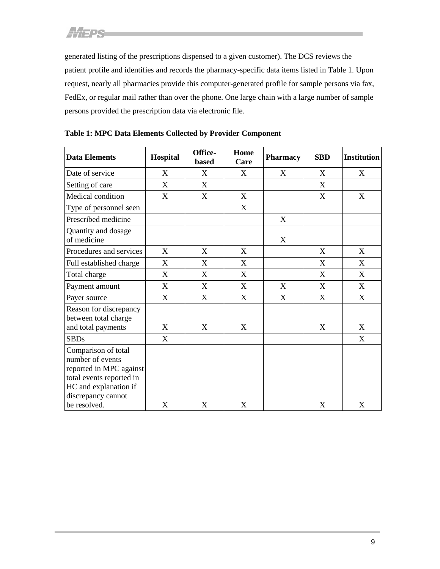generated listing of the prescriptions dispensed to a given customer). The DCS reviews the patient profile and identifies and records the pharmacy-specific data items listed in Table 1. Upon request, nearly all pharmacies provide this computer-generated profile for sample persons via fax, FedEx, or regular mail rather than over the phone. One large chain with a large number of sample persons provided the prescription data via electronic file.

| <b>Data Elements</b>                                                                                                                          | Hospital | Office-<br>based | Home<br>Care | <b>Pharmacy</b> | <b>SBD</b> | <b>Institution</b> |
|-----------------------------------------------------------------------------------------------------------------------------------------------|----------|------------------|--------------|-----------------|------------|--------------------|
| Date of service                                                                                                                               | X        | X                | X            | X               | X          | X                  |
| Setting of care                                                                                                                               | X        | X                |              |                 | X          |                    |
| Medical condition                                                                                                                             | X        | X                | X            |                 | X          | X                  |
| Type of personnel seen                                                                                                                        |          |                  | X            |                 |            |                    |
| Prescribed medicine                                                                                                                           |          |                  |              | X               |            |                    |
| Quantity and dosage<br>of medicine                                                                                                            |          |                  |              | X               |            |                    |
| Procedures and services                                                                                                                       | X        | X                | X            |                 | X          | X                  |
| Full established charge                                                                                                                       | X        | X                | X            |                 | X          | X                  |
| Total charge                                                                                                                                  | X        | X                | X            |                 | X          | X                  |
| Payment amount                                                                                                                                | X        | X                | X            | X               | X          | X                  |
| Payer source                                                                                                                                  | X        | X                | X            | X               | X          | X                  |
| Reason for discrepancy<br>between total charge<br>and total payments                                                                          | X        | X                | X            |                 | X          | X                  |
| <b>SBDs</b>                                                                                                                                   | X        |                  |              |                 |            | X                  |
| Comparison of total<br>number of events<br>reported in MPC against<br>total events reported in<br>HC and explanation if<br>discrepancy cannot |          |                  |              |                 |            |                    |
| be resolved.                                                                                                                                  | X        | X                | X            |                 | X          | X                  |

<span id="page-11-0"></span>**Table 1: MPC Data Elements Collected by Provider Component**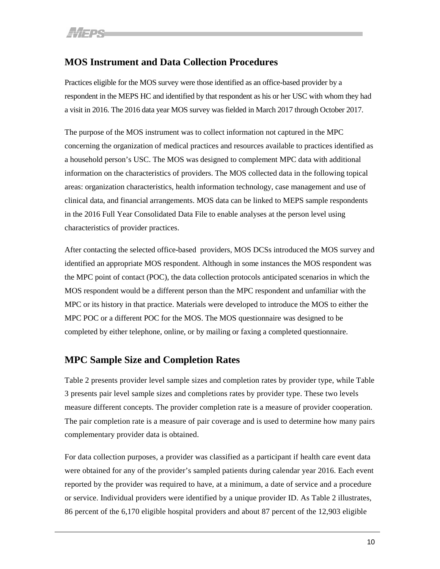# <span id="page-12-0"></span>**MOS Instrument and Data Collection Procedures**

Practices eligible for the MOS survey were those identified as an office-based provider by a respondent in the MEPS HC and identified by that respondent as his or her USC with whom they had a visit in 2016. The 2016 data year MOS survey was fielded in March 2017 through October 2017.

The purpose of the MOS instrument was to collect information not captured in the MPC concerning the organization of medical practices and resources available to practices identified as a household person's USC. The MOS was designed to complement MPC data with additional information on the characteristics of providers. The MOS collected data in the following topical areas: organization characteristics, health information technology, case management and use of clinical data, and financial arrangements. MOS data can be linked to MEPS sample respondents in the 2016 Full Year Consolidated Data File to enable analyses at the person level using characteristics of provider practices.

After contacting the selected office-based providers, MOS DCSs introduced the MOS survey and identified an appropriate MOS respondent. Although in some instances the MOS respondent was the MPC point of contact (POC), the data collection protocols anticipated scenarios in which the MOS respondent would be a different person than the MPC respondent and unfamiliar with the MPC or its history in that practice. Materials were developed to introduce the MOS to either the MPC POC or a different POC for the MOS. The MOS questionnaire was designed to be completed by either telephone, online, or by mailing or faxing a completed questionnaire.

## <span id="page-12-1"></span>**MPC Sample Size and Completion Rates**

Table 2 presents provider level sample sizes and completion rates by provider type, while Table 3 presents pair level sample sizes and completions rates by provider type. These two levels measure different concepts. The provider completion rate is a measure of provider cooperation. The pair completion rate is a measure of pair coverage and is used to determine how many pairs complementary provider data is obtained.

For data collection purposes, a provider was classified as a participant if health care event data were obtained for any of the provider's sampled patients during calendar year 2016. Each event reported by the provider was required to have, at a minimum, a date of service and a procedure or service. Individual providers were identified by a unique provider ID. As Table 2 illustrates, 86 percent of the 6,170 eligible hospital providers and about 87 percent of the 12,903 eligible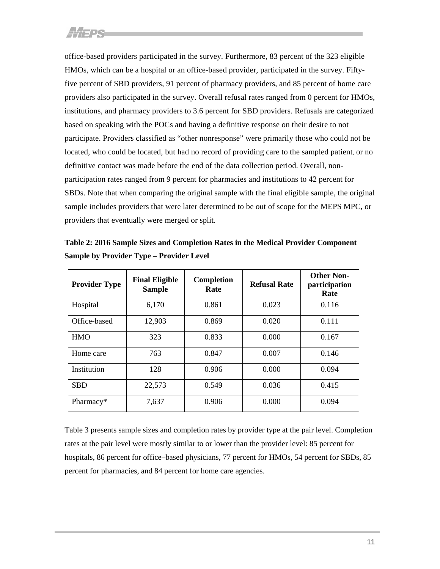office-based providers participated in the survey. Furthermore, 83 percent of the 323 eligible HMOs, which can be a hospital or an office-based provider, participated in the survey. Fiftyfive percent of SBD providers, 91 percent of pharmacy providers, and 85 percent of home care providers also participated in the survey. Overall refusal rates ranged from 0 percent for HMOs, institutions, and pharmacy providers to 3.6 percent for SBD providers. Refusals are categorized based on speaking with the POCs and having a definitive response on their desire to not participate. Providers classified as "other nonresponse" were primarily those who could not be located, who could be located, but had no record of providing care to the sampled patient, or no definitive contact was made before the end of the data collection period. Overall, nonparticipation rates ranged from 9 percent for pharmacies and institutions to 42 percent for SBDs. Note that when comparing the original sample with the final eligible sample, the original sample includes providers that were later determined to be out of scope for the MEPS MPC, or providers that eventually were merged or split.

<span id="page-13-0"></span>

| Table 2: 2016 Sample Sizes and Completion Rates in the Medical Provider Component |
|-----------------------------------------------------------------------------------|
| <b>Sample by Provider Type – Provider Level</b>                                   |

| <b>Provider Type</b> | <b>Final Eligible</b><br><b>Sample</b> | Completion<br>Rate | <b>Refusal Rate</b> | <b>Other Non-</b><br>participation<br>Rate |
|----------------------|----------------------------------------|--------------------|---------------------|--------------------------------------------|
| Hospital             | 6,170                                  | 0.861              | 0.023               | 0.116                                      |
| Office-based         | 12,903                                 | 0.869              | 0.020               | 0.111                                      |
| <b>HMO</b>           | 323                                    | 0.833              | 0.000               | 0.167                                      |
| Home care            | 763                                    | 0.847              | 0.007               | 0.146                                      |
| Institution          | 128                                    | 0.906              | 0.000               | 0.094                                      |
| <b>SBD</b>           | 22,573                                 | 0.549              | 0.036               | 0.415                                      |
| Pharmacy*            | 7,637                                  | 0.906              | 0.000               | 0.094                                      |

Table 3 presents sample sizes and completion rates by provider type at the pair level. Completion rates at the pair level were mostly similar to or lower than the provider level: 85 percent for hospitals, 86 percent for office–based physicians, 77 percent for HMOs, 54 percent for SBDs, 85 percent for pharmacies, and 84 percent for home care agencies.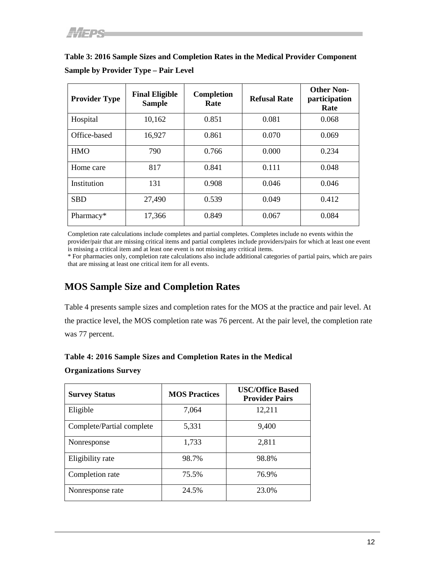| <b>Provider Type</b> | <b>Final Eligible</b><br><b>Sample</b> | Completion<br>Rate | <b>Refusal Rate</b> | <b>Other Non-</b><br>participation<br>Rate |
|----------------------|----------------------------------------|--------------------|---------------------|--------------------------------------------|
| Hospital             | 10,162                                 | 0.851              | 0.081               | 0.068                                      |
| Office-based         | 16,927                                 | 0.861              | 0.070               | 0.069                                      |
| <b>HMO</b>           | 790                                    | 0.766              | 0.000               | 0.234                                      |
| Home care            | 817                                    | 0.841              | 0.111               | 0.048                                      |
| Institution          | 131                                    | 0.908              | 0.046               | 0.046                                      |
| <b>SBD</b>           | 27,490                                 | 0.539              | 0.049               | 0.412                                      |
| Pharmacy*            | 17,366                                 | 0.849              | 0.067               | 0.084                                      |

<span id="page-14-0"></span>**Table 3: 2016 Sample Sizes and Completion Rates in the Medical Provider Component Sample by Provider Type – Pair Level**

Completion rate calculations include completes and partial completes. Completes include no events within the provider/pair that are missing critical items and partial completes include providers/pairs for which at least one event is missing a critical item and at least one event is not missing any critical items.

\* For pharmacies only, completion rate calculations also include additional categories of partial pairs, which are pairs that are missing at least one critical item for all events.

## <span id="page-14-1"></span>**MOS Sample Size and Completion Rates**

Table 4 presents sample sizes and completion rates for the MOS at the practice and pair level. At the practice level, the MOS completion rate was 76 percent. At the pair level, the completion rate was 77 percent.

### <span id="page-14-2"></span>**Table 4: 2016 Sample Sizes and Completion Rates in the Medical**

### **Organizations Survey**

| <b>Survey Status</b>      | <b>MOS Practices</b> | <b>USC/Office Based</b><br><b>Provider Pairs</b> |
|---------------------------|----------------------|--------------------------------------------------|
| Eligible                  | 7,064                | 12,211                                           |
| Complete/Partial complete | 5,331                | 9,400                                            |
| Nonresponse               | 1,733                | 2,811                                            |
| Eligibility rate          | 98.7%                | 98.8%                                            |
| Completion rate           | 75.5%                | 76.9%                                            |
| Nonresponse rate          | 24.5%                | 23.0%                                            |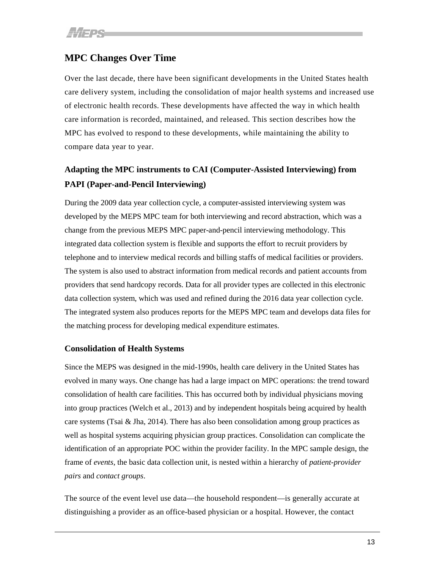# <span id="page-15-0"></span>**MPC Changes Over Time**

Over the last decade, there have been significant developments in the United States health care delivery system, including the consolidation of major health systems and increased use of electronic health records. These developments have affected the way in which health care information is recorded, maintained, and released. This section describes how the MPC has evolved to respond to these developments, while maintaining the ability to compare data year to year.

# **Adapting the MPC instruments to CAI (Computer-Assisted Interviewing) from PAPI (Paper-and-Pencil Interviewing)**

During the 2009 data year collection cycle, a computer-assisted interviewing system was developed by the MEPS MPC team for both interviewing and record abstraction, which was a change from the previous MEPS MPC paper-and-pencil interviewing methodology. This integrated data collection system is flexible and supports the effort to recruit providers by telephone and to interview medical records and billing staffs of medical facilities or providers. The system is also used to abstract information from medical records and patient accounts from providers that send hardcopy records. Data for all provider types are collected in this electronic data collection system, which was used and refined during the 2016 data year collection cycle. The integrated system also produces reports for the MEPS MPC team and develops data files for the matching process for developing medical expenditure estimates.

### **Consolidation of Health Systems**

Since the MEPS was designed in the mid-1990s, health care delivery in the United States has evolved in many ways. One change has had a large impact on MPC operations: the trend toward consolidation of health care facilities. This has occurred both by individual physicians moving into group practices (Welch et al., 2013) and by independent hospitals being acquired by health care systems (Tsai & Jha, 2014). There has also been consolidation among group practices as well as hospital systems acquiring physician group practices. Consolidation can complicate the identification of an appropriate POC within the provider facility. In the MPC sample design, the frame of *events*, the basic data collection unit, is nested within a hierarchy of *patient-provider pairs* and *contact groups*.

The source of the event level use data—the household respondent—is generally accurate at distinguishing a provider as an office-based physician or a hospital. However, the contact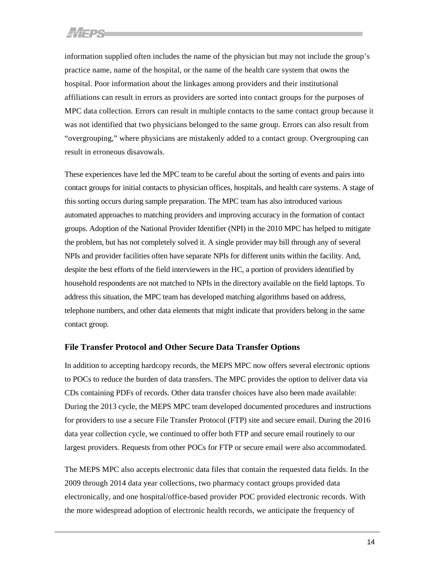information supplied often includes the name of the physician but may not include the group's practice name, name of the hospital, or the name of the health care system that owns the hospital. Poor information about the linkages among providers and their institutional affiliations can result in errors as providers are sorted into contact groups for the purposes of MPC data collection. Errors can result in multiple contacts to the same contact group because it was not identified that two physicians belonged to the same group. Errors can also result from "overgrouping," where physicians are mistakenly added to a contact group. Overgrouping can result in erroneous disavowals.

These experiences have led the MPC team to be careful about the sorting of events and pairs into contact groups for initial contacts to physician offices, hospitals, and health care systems. A stage of this sorting occurs during sample preparation. The MPC team has also introduced various automated approaches to matching providers and improving accuracy in the formation of contact groups. Adoption of the National Provider Identifier (NPI) in the 2010 MPC has helped to mitigate the problem, but has not completely solved it. A single provider may bill through any of several NPIs and provider facilities often have separate NPIs for different units within the facility. And, despite the best efforts of the field interviewers in the HC, a portion of providers identified by household respondents are not matched to NPIs in the directory available on the field laptops. To address this situation, the MPC team has developed matching algorithms based on address, telephone numbers, and other data elements that might indicate that providers belong in the same contact group.

#### **File Transfer Protocol and Other Secure Data Transfer Options**

In addition to accepting hardcopy records, the MEPS MPC now offers several electronic options to POCs to reduce the burden of data transfers. The MPC provides the option to deliver data via CDs containing PDFs of records. Other data transfer choices have also been made available: During the 2013 cycle, the MEPS MPC team developed documented procedures and instructions for providers to use a secure File Transfer Protocol (FTP) site and secure email. During the 2016 data year collection cycle, we continued to offer both FTP and secure email routinely to our largest providers. Requests from other POCs for FTP or secure email were also accommodated.

The MEPS MPC also accepts electronic data files that contain the requested data fields. In the 2009 through 2014 data year collections, two pharmacy contact groups provided data electronically, and one hospital/office-based provider POC provided electronic records. With the more widespread adoption of electronic health records, we anticipate the frequency of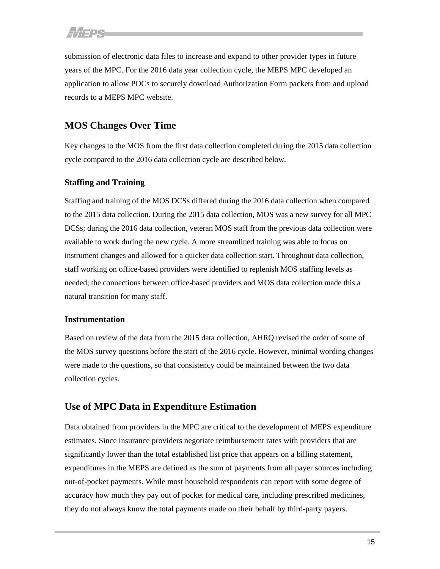submission of electronic data files to increase and expand to other provider types in future years of the MPC. For the 2016 data year collection cycle, the MEPS MPC developed an application to allow POCs to securely download Authorization Form packets from and upload records to a MEPS MPC website.

# <span id="page-17-0"></span>**MOS Changes Over Time**

Key changes to the MOS from the first data collection completed during the 2015 data collection cycle compared to the 2016 data collection cycle are described below.

## **Staffing and Training**

Staffing and training of the MOS DCSs differed during the 2016 data collection when compared to the 2015 data collection. During the 2015 data collection, MOS was a new survey for all MPC DCSs; during the 2016 data collection, veteran MOS staff from the previous data collection were available to work during the new cycle. A more streamlined training was able to focus on instrument changes and allowed for a quicker data collection start. Throughout data collection, staff working on office-based providers were identified to replenish MOS staffing levels as needed; the connections between office-based providers and MOS data collection made this a natural transition for many staff.

## **Instrumentation**

Based on review of the data from the 2015 data collection, AHRQ revised the order of some of the MOS survey questions before the start of the 2016 cycle. However, minimal wording changes were made to the questions, so that consistency could be maintained between the two data collection cycles.

## <span id="page-17-1"></span>**Use of MPC Data in Expenditure Estimation**

Data obtained from providers in the MPC are critical to the development of MEPS expenditure estimates. Since insurance providers negotiate reimbursement rates with providers that are significantly lower than the total established list price that appears on a billing statement, expenditures in the MEPS are defined as the sum of payments from all payer sources including out-of-pocket payments. While most household respondents can report with some degree of accuracy how much they pay out of pocket for medical care, including prescribed medicines, they do not always know the total payments made on their behalf by third-party payers.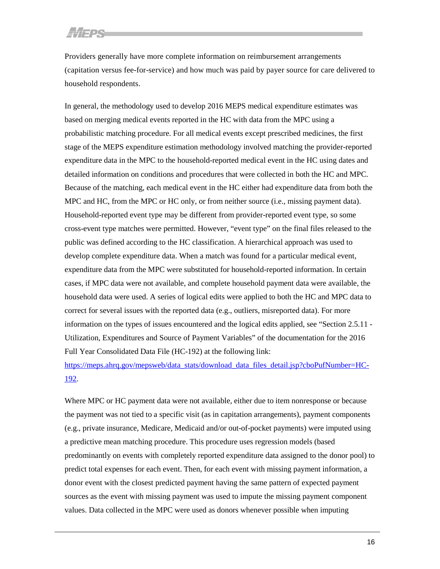Providers generally have more complete information on reimbursement arrangements (capitation versus fee-for-service) and how much was paid by payer source for care delivered to household respondents.

In general, the methodology used to develop 2016 MEPS medical expenditure estimates was based on merging medical events reported in the HC with data from the MPC using a probabilistic matching procedure. For all medical events except prescribed medicines, the first stage of the MEPS expenditure estimation methodology involved matching the provider-reported expenditure data in the MPC to the household-reported medical event in the HC using dates and detailed information on conditions and procedures that were collected in both the HC and MPC. Because of the matching, each medical event in the HC either had expenditure data from both the MPC and HC, from the MPC or HC only, or from neither source (i.e., missing payment data). Household-reported event type may be different from provider-reported event type, so some cross-event type matches were permitted. However, "event type" on the final files released to the public was defined according to the HC classification. A hierarchical approach was used to develop complete expenditure data. When a match was found for a particular medical event, expenditure data from the MPC were substituted for household-reported information. In certain cases, if MPC data were not available, and complete household payment data were available, the household data were used. A series of logical edits were applied to both the HC and MPC data to correct for several issues with the reported data (e.g., outliers, misreported data). For more information on the types of issues encountered and the logical edits applied, see "Section 2.5.11 - Utilization, Expenditures and Source of Payment Variables" of the documentation for the 2016 Full Year Consolidated Data File (HC-192) at the following link:

[https://meps.ahrq.gov/mepsweb/data\\_stats/download\\_data\\_files\\_detail.jsp?cboPufNumber=HC-](https://meps.ahrq.gov/mepsweb/data_stats/download_data_files_detail.jsp?cboPufNumber=HC-192)[192.](https://meps.ahrq.gov/mepsweb/data_stats/download_data_files_detail.jsp?cboPufNumber=HC-192)

Where MPC or HC payment data were not available, either due to item nonresponse or because the payment was not tied to a specific visit (as in capitation arrangements), payment components (e.g., private insurance, Medicare, Medicaid and/or out-of-pocket payments) were imputed using a predictive mean matching procedure. This procedure uses regression models (based predominantly on events with completely reported expenditure data assigned to the donor pool) to predict total expenses for each event. Then, for each event with missing payment information, a donor event with the closest predicted payment having the same pattern of expected payment sources as the event with missing payment was used to impute the missing payment component values. Data collected in the MPC were used as donors whenever possible when imputing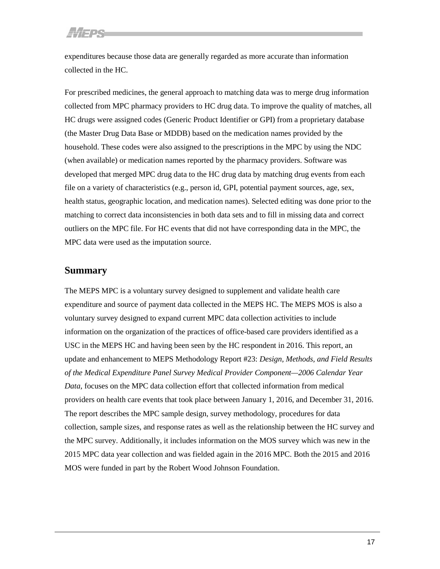expenditures because those data are generally regarded as more accurate than information collected in the HC.

For prescribed medicines, the general approach to matching data was to merge drug information collected from MPC pharmacy providers to HC drug data. To improve the quality of matches, all HC drugs were assigned codes (Generic Product Identifier or GPI) from a proprietary database (the Master Drug Data Base or MDDB) based on the medication names provided by the household. These codes were also assigned to the prescriptions in the MPC by using the NDC (when available) or medication names reported by the pharmacy providers. Software was developed that merged MPC drug data to the HC drug data by matching drug events from each file on a variety of characteristics (e.g., person id, GPI, potential payment sources, age, sex, health status, geographic location, and medication names). Selected editing was done prior to the matching to correct data inconsistencies in both data sets and to fill in missing data and correct outliers on the MPC file. For HC events that did not have corresponding data in the MPC, the MPC data were used as the imputation source.

## <span id="page-19-0"></span>**Summary**

The MEPS MPC is a voluntary survey designed to supplement and validate health care expenditure and source of payment data collected in the MEPS HC. The MEPS MOS is also a voluntary survey designed to expand current MPC data collection activities to include information on the organization of the practices of office-based care providers identified as a USC in the MEPS HC and having been seen by the HC respondent in 2016. This report, an update and enhancement to MEPS Methodology Report #23: *Design, Methods, and Field Results of the Medical Expenditure Panel Survey Medical Provider Component—2006 Calendar Year Data*, focuses on the MPC data collection effort that collected information from medical providers on health care events that took place between January 1, 2016, and December 31, 2016. The report describes the MPC sample design, survey methodology, procedures for data collection, sample sizes, and response rates as well as the relationship between the HC survey and the MPC survey. Additionally, it includes information on the MOS survey which was new in the 2015 MPC data year collection and was fielded again in the 2016 MPC. Both the 2015 and 2016 MOS were funded in part by the Robert Wood Johnson Foundation.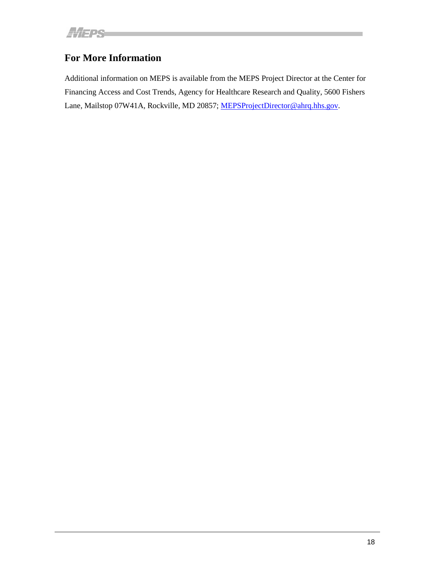# <span id="page-20-0"></span>**For More Information**

Additional information on MEPS is available from the MEPS Project Director at the Center for Financing Access and Cost Trends, Agency for Healthcare Research and Quality, 5600 Fishers Lane, Mailstop 07W41A, Rockville, MD 20857; [MEPSProjectDirector@ahrq.hhs.gov.](mailto:MEPSProjectDirector@ahrq.hhs.gov)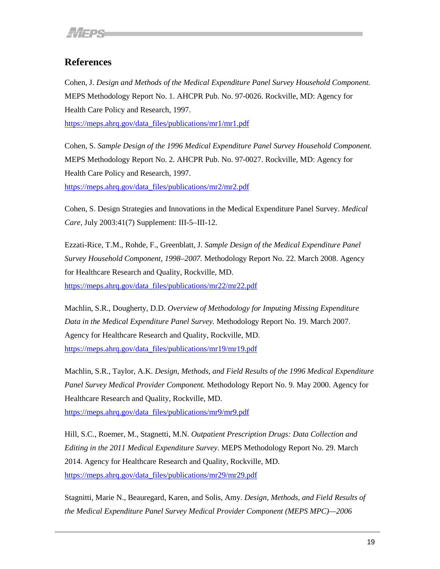# <span id="page-21-0"></span>**References**

Cohen, J. *Design and Methods of the Medical Expenditure Panel Survey Household Component.* MEPS Methodology Report No. 1. AHCPR Pub. No. 97-0026. Rockville, MD: Agency for Health Care Policy and Research, 1997.

[https://meps.ahrq.gov/data\\_files/publications/mr1/mr1.pdf](https://meps.ahrq.gov/data_files/publications/mr1/mr1.pdf)

Cohen, S. *Sample Design of the 1996 Medical Expenditure Panel Survey Household Component.* MEPS Methodology Report No. 2. AHCPR Pub. No. 97-0027. Rockville, MD: Agency for Health Care Policy and Research, 1997.

[https://meps.ahrq.gov/data\\_files/publications/mr2/mr2.pdf](https://meps.ahrq.gov/data_files/publications/mr2/mr2.pdf)

Cohen, S. Design Strategies and Innovations in the Medical Expenditure Panel Survey. *Medical Care,* July 2003:41(7) Supplement: III-5–III-12.

Ezzati-Rice, T.M., Rohde, F., Greenblatt, J. *Sample Design of the Medical Expenditure Panel Survey Household Component, 1998*–*2007.* Methodology Report No. 22. March 2008. Agency for Healthcare Research and Quality, Rockville, MD. [https://meps.ahrq.gov/data\\_files/publications/mr22/mr22.pdf](https://meps.ahrq.gov/data_files/publications/mr22/mr22.pdf)

Machlin, S.R., Dougherty, D.D. *Overview of Methodology for Imputing Missing Expenditure Data in the Medical Expenditure Panel Survey.* Methodology Report No. 19. March 2007. Agency for Healthcare Research and Quality, Rockville, MD. [https://meps.ahrq.gov/data\\_files/publications/mr19/mr19.pdf](https://meps.ahrq.gov/data_files/publications/mr19/mr19.pdf)

Machlin, S.R., Taylor, A.K. *Design, Methods, and Field Results of the 1996 Medical Expenditure Panel Survey Medical Provider Component.* Methodology Report No. 9. May 2000. Agency for Healthcare Research and Quality, Rockville, MD.

[https://meps.ahrq.gov/data\\_files/publications/mr9/mr9.pdf](https://meps.ahrq.gov/data_files/publications/mr9/mr9.pdf)

Hill, S.C., Roemer, M., Stagnetti, M.N. *Outpatient Prescription Drugs: Data Collection and Editing in the 2011 Medical Expenditure Survey*. MEPS Methodology Report No. 29. March 2014. Agency for Healthcare Research and Quality, Rockville, MD. [https://meps.ahrq.gov/data\\_files/publications/mr29/mr29.pdf](https://meps.ahrq.gov/data_files/publications/mr29/mr29.pdf)

Stagnitti, Marie N., Beauregard, Karen, and Solis, Amy. *Design, Methods, and Field Results of the Medical Expenditure Panel Survey Medical Provider Component (MEPS MPC)—2006*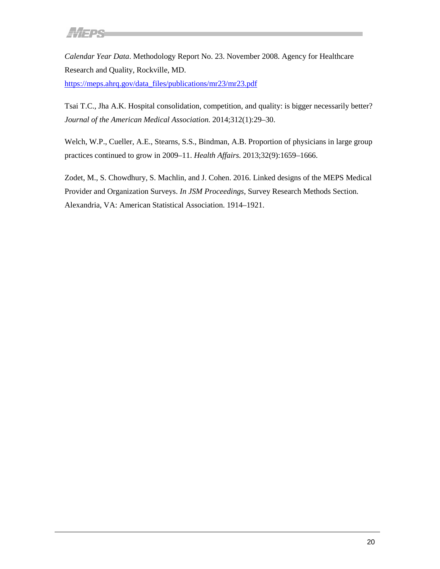*Calendar Year Data*. Methodology Report No. 23. November 2008. Agency for Healthcare Research and Quality, Rockville, MD[.](https://meps.ahrq.gov/data_files/publications/mr23/mr23.pdf)  [https://meps.ahrq.gov/data\\_files/publications/mr23/mr23.pdf](https://meps.ahrq.gov/data_files/publications/mr23/mr23.pdf)

Tsai T.C., Jha A.K. Hospital consolidation, competition, and quality: is bigger necessarily better? *Journal of the American Medical Association.* 2014;312(1):29–30.

Welch, W.P., Cueller, A.E., Stearns, S.S., Bindman, A.B. Proportion of physicians in large group practices continued to grow in 2009–11. *Health Affairs*. 2013;32(9):1659–1666.

Zodet, M., S. Chowdhury, S. Machlin, and J. Cohen. 2016. Linked designs of the MEPS Medical Provider and Organization Surveys. *In JSM Proceedings*, Survey Research Methods Section. Alexandria, VA: American Statistical Association. 1914–1921.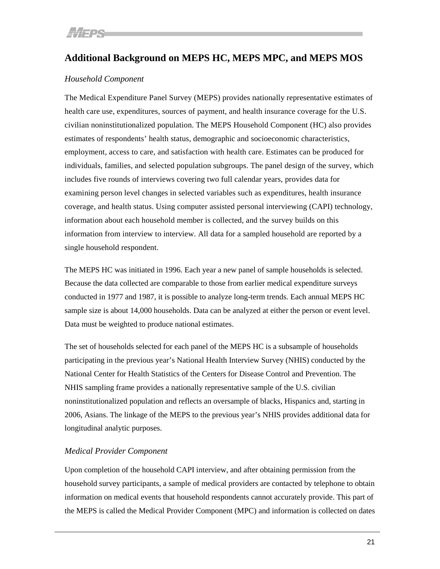# <span id="page-23-0"></span>**Additional Background on MEPS HC, MEPS MPC, and MEPS MOS**

## *Household Component*

The Medical Expenditure Panel Survey (MEPS) provides nationally representative estimates of health care use, expenditures, sources of payment, and health insurance coverage for the U.S. civilian noninstitutionalized population. The MEPS Household Component (HC) also provides estimates of respondents' health status, demographic and socioeconomic characteristics, employment, access to care, and satisfaction with health care. Estimates can be produced for individuals, families, and selected population subgroups. The panel design of the survey, which includes five rounds of interviews covering two full calendar years, provides data for examining person level changes in selected variables such as expenditures, health insurance coverage, and health status. Using computer assisted personal interviewing (CAPI) technology, information about each household member is collected, and the survey builds on this information from interview to interview. All data for a sampled household are reported by a single household respondent.

The MEPS HC was initiated in 1996. Each year a new panel of sample households is selected. Because the data collected are comparable to those from earlier medical expenditure surveys conducted in 1977 and 1987, it is possible to analyze long-term trends. Each annual MEPS HC sample size is about 14,000 households. Data can be analyzed at either the person or event level. Data must be weighted to produce national estimates.

The set of households selected for each panel of the MEPS HC is a subsample of households participating in the previous year's National Health Interview Survey (NHIS) conducted by the National Center for Health Statistics of the Centers for Disease Control and Prevention. The NHIS sampling frame provides a nationally representative sample of the U.S. civilian noninstitutionalized population and reflects an oversample of blacks, Hispanics and, starting in 2006, Asians. The linkage of the MEPS to the previous year's NHIS provides additional data for longitudinal analytic purposes.

## *Medical Provider Component*

Upon completion of the household CAPI interview, and after obtaining permission from the household survey participants, a sample of medical providers are contacted by telephone to obtain information on medical events that household respondents cannot accurately provide. This part of the MEPS is called the Medical Provider Component (MPC) and information is collected on dates